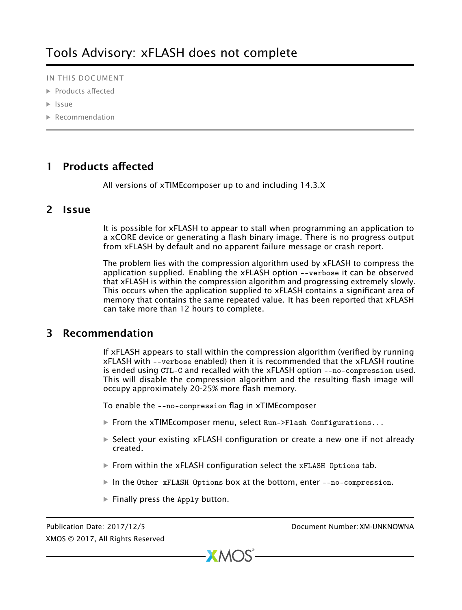IN THIS DOCUMENT

- · [Products affected](#page-0-0)
- · [Issue](#page-0-1)
- · [Recommendation](#page-0-2)

## 1 Products affected

<span id="page-0-1"></span><span id="page-0-0"></span>All versions of xTIMEcomposer up to and including 14.3.X

## 2 Issue

It is possible for xFLASH to appear to stall when programming an application to a xCORE device or generating a flash binary image. There is no progress output from xFLASH by default and no apparent failure message or crash report.

The problem lies with the compression algorithm used by xFLASH to compress the application supplied. Enabling the xFLASH option --verbose it can be observed that xFLASH is within the compression algorithm and progressing extremely slowly. This occurs when the application supplied to xFLASH contains a significant area of memory that contains the same repeated value. It has been reported that xFLASH can take more than 12 hours to complete.

## 3 Recommendation

<span id="page-0-2"></span>If xFLASH appears to stall within the compression algorithm (verified by running xFLASH with --verbose enabled) then it is recommended that the xFLASH routine is ended using CTL-C and recalled with the xFLASH option --no-conpression used. This will disable the compression algorithm and the resulting flash image will occupy approximately 20-25% more flash memory.

To enable the --no-compression flag in xTIMEcomposer

- From the xTIME composer menu, select Run->Flash Configurations...
- · Select your existing xFLASH configuration or create a new one if not already created.
- $\triangleright$  From within the xFLASH configuration select the xFLASH Options tab.
- · In the Other xFLASH Options box at the bottom, enter --no-compression.
- $\blacktriangleright$  Finally press the Apply button.

XMOS © 2017, All Rights Reserved

Publication Date: 2017/12/5 Document Number: XM-UNKNOWNA